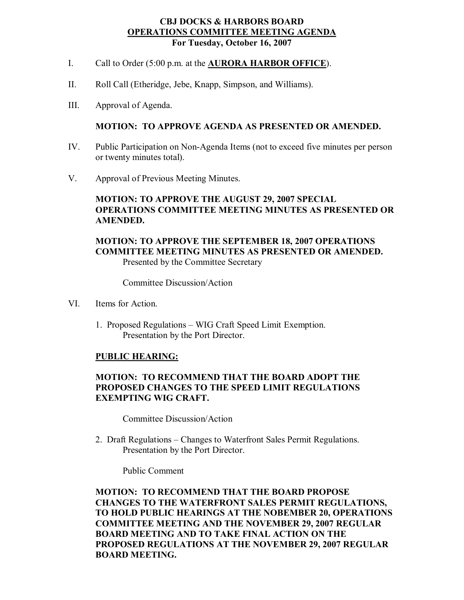#### **CBJ DOCKS & HARBORS BOARD OPERATIONS COMMITTEE MEETING AGENDA For Tuesday, October 16, 2007**

- I. Call to Order (5:00 p.m. at the **AURORA HARBOR OFFICE**).
- II. Roll Call (Etheridge, Jebe, Knapp, Simpson, and Williams).
- III. Approval of Agenda.

#### **MOTION: TO APPROVE AGENDA AS PRESENTED OR AMENDED.**

- IV. Public Participation on Non-Agenda Items (not to exceed five minutes per person or twenty minutes total).
- V. Approval of Previous Meeting Minutes.

# **MOTION: TO APPROVE THE AUGUST 29, 2007 SPECIAL OPERATIONS COMMITTEE MEETING MINUTES AS PRESENTED OR AMENDED.**

## **MOTION: TO APPROVE THE SEPTEMBER 18, 2007 OPERATIONS COMMITTEE MEETING MINUTES AS PRESENTED OR AMENDED.** Presented by the Committee Secretary

Committee Discussion/Action

- VI. Items for Action.
	- 1. Proposed Regulations WIG Craft Speed Limit Exemption. Presentation by the Port Director.

## **PUBLIC HEARING:**

# **MOTION: TO RECOMMEND THAT THE BOARD ADOPT THE PROPOSED CHANGES TO THE SPEED LIMIT REGULATIONS EXEMPTING WIG CRAFT.**

Committee Discussion/Action

2. Draft Regulations – Changes to Waterfront Sales Permit Regulations. Presentation by the Port Director.

Public Comment

**MOTION: TO RECOMMEND THAT THE BOARD PROPOSE CHANGES TO THE WATERFRONT SALES PERMIT REGULATIONS, TO HOLD PUBLIC HEARINGS AT THE NOBEMBER 20, OPERATIONS COMMITTEE MEETING AND THE NOVEMBER 29, 2007 REGULAR BOARD MEETING AND TO TAKE FINAL ACTION ON THE PROPOSED REGULATIONS AT THE NOVEMBER 29,2007 REGULAR BOARD MEETING.**